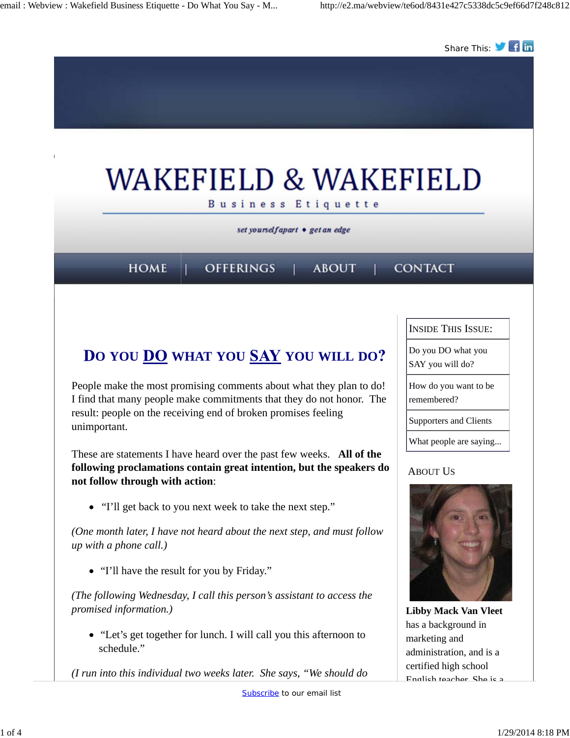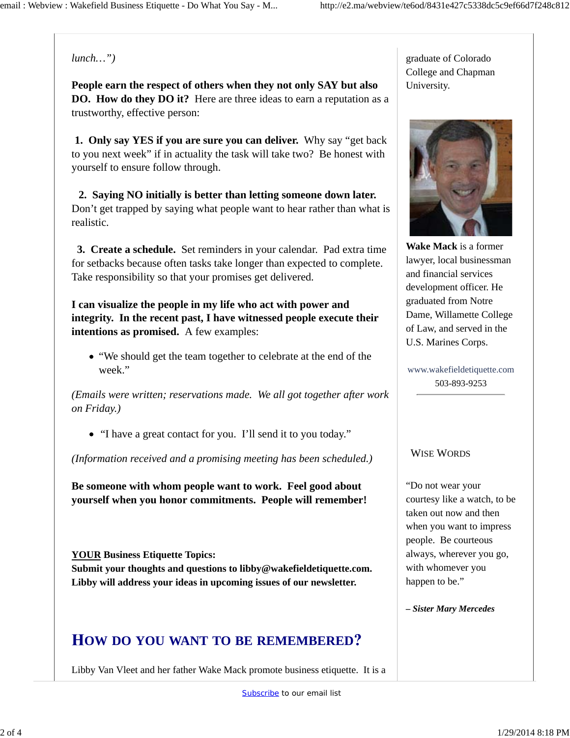### *lunch…")*

**People earn the respect of others when they not only SAY but also DO. How do they DO it?** Here are three ideas to earn a reputation as a trustworthy, effective person:

 **1. Only say YES if you are sure you can deliver.** Why say "get back to you next week" if in actuality the task will take two? Be honest with yourself to ensure follow through.

 **2. Saying NO initially is better than letting someone down later.**  Don't get trapped by saying what people want to hear rather than what is realistic.

 **3. Create a schedule.** Set reminders in your calendar. Pad extra time for setbacks because often tasks take longer than expected to complete. Take responsibility so that your promises get delivered.

**I can visualize the people in my life who act with power and integrity. In the recent past, I have witnessed people execute their intentions as promised.** A few examples:

"We should get the team together to celebrate at the end of the week."

*(Emails were written; reservations made. We all got together after work on Friday.)*

"I have a great contact for you. I'll send it to you today."

*(Information received and a promising meeting has been scheduled.)*

**Be someone with whom people want to work. Feel good about yourself when you honor commitments. People will remember!**

**YOUR Business Etiquette Topics: Submit your thoughts and questions to libby@wakefieldetiquette.com. Libby will address your ideas in upcoming issues of our newsletter.**

### **OW DO YOU WANT TO BE REMEMBERED**

Libby Van Vleet and her father Wake Mack promote business etiquette. It is a

graduate of Colorado College and Chapman University.



**Wake Mack** is a former lawyer, local businessman and financial services development officer. He graduated from Notre Dame, Willamette College of Law, and served in the U.S. Marines Corps.

www.wakefieldetiquette.com 503-893-9253

#### WISE WORDS

"Do not wear your courtesy like a watch, to be taken out now and then when you want to impress people. Be courteous always, wherever you go, with whomever you happen to be."

*– Sister Mary Mercedes*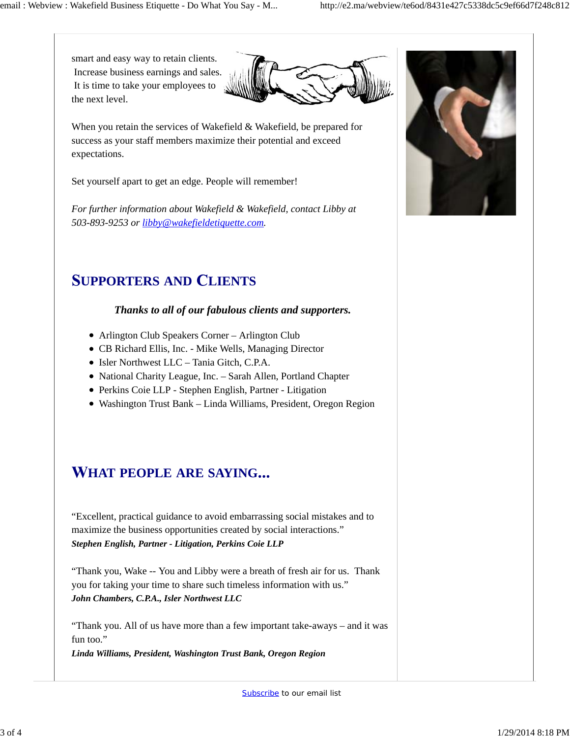smart and easy way to retain clients. Increase business earnings and sales. It is time to take your employees to the next level.



When you retain the services of Wakefield & Wakefield, be prepared for success as your staff members maximize their potential and exceed expectations.

Set yourself apart to get an edge. People will remember!

*For further information about Wakefield & Wakefield, contact Libby at 503-893-9253 or libby@wakefieldetiquette.com.*

# **UPPORTERS AND LIENTS**

### *Thanks to all of our fabulous clients and supporters.*

- Arlington Club Speakers Corner Arlington Club
- CB Richard Ellis, Inc. Mike Wells, Managing Director
- Isler Northwest LLC Tania Gitch, C.P.A.
- National Charity League, Inc. Sarah Allen, Portland Chapter
- Perkins Coie LLP Stephen English, Partner Litigation
- Washington Trust Bank Linda Williams, President, Oregon Region

# **HAT PEOPLE ARE SAYING**

"Excellent, practical guidance to avoid embarrassing social mistakes and to maximize the business opportunities created by social interactions." *Stephen English, Partner - Litigation, Perkins Coie LLP*

"Thank you, Wake -- You and Libby were a breath of fresh air for us. Thank you for taking your time to share such timeless information with us." *John Chambers, C.P.A., Isler Northwest LLC*

"Thank you. All of us have more than a few important take-aways – and it was fun too."

*Linda Williams, President, Washington Trust Bank, Oregon Region*